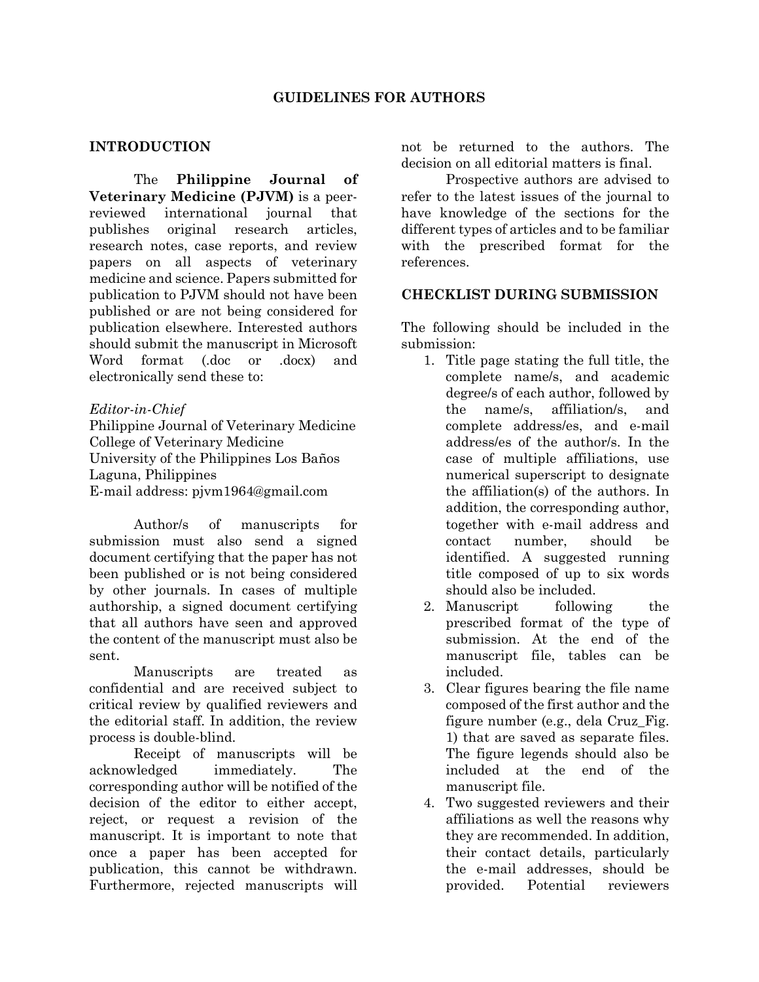#### **INTRODUCTION**

The **Philippine Journal of Veterinary Medicine (PJVM)** is a peerreviewed international journal that publishes original research articles, research notes, case reports, and review papers on all aspects of veterinary medicine and science. Papers submitted for publication to PJVM should not have been published or are not being considered for publication elsewhere. Interested authors should submit the manuscript in Microsoft Word format (.doc or .docx) and electronically send these to:

#### *Editor-in-Chief*

Philippine Journal of Veterinary Medicine College of Veterinary Medicine University of the Philippines Los Baños Laguna, Philippines E-mail address: pjvm1964@gmail.com

Author/s of manuscripts for submission must also send a signed document certifying that the paper has not been published or is not being considered by other journals. In cases of multiple authorship, a signed document certifying that all authors have seen and approved the content of the manuscript must also be sent.

Manuscripts are treated as confidential and are received subject to critical review by qualified reviewers and the editorial staff. In addition, the review process is double-blind.

Receipt of manuscripts will be acknowledged immediately. The corresponding author will be notified of the decision of the editor to either accept, reject, or request a revision of the manuscript. It is important to note that once a paper has been accepted for publication, this cannot be withdrawn. Furthermore, rejected manuscripts will

not be returned to the authors. The decision on all editorial matters is final.

Prospective authors are advised to refer to the latest issues of the journal to have knowledge of the sections for the different types of articles and to be familiar with the prescribed format for the references.

#### **CHECKLIST DURING SUBMISSION**

The following should be included in the submission:

- 1. Title page stating the full title, the complete name/s, and academic degree/s of each author, followed by the name/s, affiliation/s, and complete address/es, and e-mail address/es of the author/s. In the case of multiple affiliations, use numerical superscript to designate the affiliation(s) of the authors. In addition, the corresponding author, together with e-mail address and contact number, should be identified. A suggested running title composed of up to six words should also be included.
- 2. Manuscript following the prescribed format of the type of submission. At the end of the manuscript file, tables can be included.
- 3. Clear figures bearing the file name composed of the first author and the figure number (e.g., dela Cruz\_Fig. 1) that are saved as separate files. The figure legends should also be included at the end of the manuscript file.
- 4. Two suggested reviewers and their affiliations as well the reasons why they are recommended. In addition, their contact details, particularly the e-mail addresses, should be provided. Potential reviewers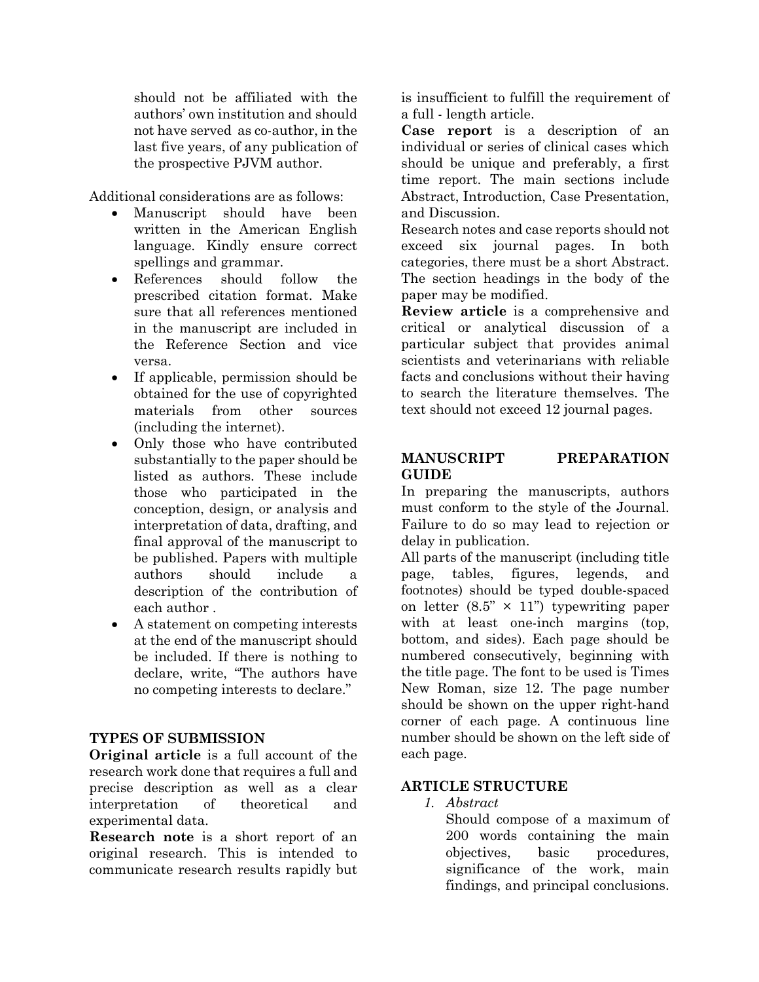should not be affiliated with the authors' own institution and should not have served as co-author, in the last five years, of any publication of the prospective PJVM author.

Additional considerations are as follows:

- Manuscript should have been written in the American English language. Kindly ensure correct spellings and grammar.
- References should follow the prescribed citation format. Make sure that all references mentioned in the manuscript are included in the Reference Section and vice versa.
- If applicable, permission should be obtained for the use of copyrighted materials from other sources (including the internet).
- Only those who have contributed substantially to the paper should be listed as authors. These include those who participated in the conception, design, or analysis and interpretation of data, drafting, and final approval of the manuscript to be published. Papers with multiple authors should include a description of the contribution of each author .
- A statement on competing interests at the end of the manuscript should be included. If there is nothing to declare, write, "The authors have no competing interests to declare."

# **TYPES OF SUBMISSION**

**Original article** is a full account of the research work done that requires a full and precise description as well as a clear interpretation of theoretical and experimental data.

**Research note** is a short report of an original research. This is intended to communicate research results rapidly but

is insufficient to fulfill the requirement of a full - length article.

**Case report** is a description of an individual or series of clinical cases which should be unique and preferably, a first time report. The main sections include Abstract, Introduction, Case Presentation, and Discussion.

Research notes and case reports should not exceed six journal pages. In both categories, there must be a short Abstract. The section headings in the body of the paper may be modified.

**Review article** is a comprehensive and critical or analytical discussion of a particular subject that provides animal scientists and veterinarians with reliable facts and conclusions without their having to search the literature themselves. The text should not exceed 12 journal pages.

# **MANUSCRIPT PREPARATION GUIDE**

In preparing the manuscripts, authors must conform to the style of the Journal. Failure to do so may lead to rejection or delay in publication.

All parts of the manuscript (including title page, tables, figures, legends, and footnotes) should be typed double-spaced on letter  $(8.5" \times 11")$  typewriting paper with at least one-inch margins (top, bottom, and sides). Each page should be numbered consecutively, beginning with the title page. The font to be used is Times New Roman, size 12. The page number should be shown on the upper right-hand corner of each page. A continuous line number should be shown on the left side of each page.

# **ARTICLE STRUCTURE**

*1. Abstract*

Should compose of a maximum of 200 words containing the main objectives, basic procedures, significance of the work, main findings, and principal conclusions.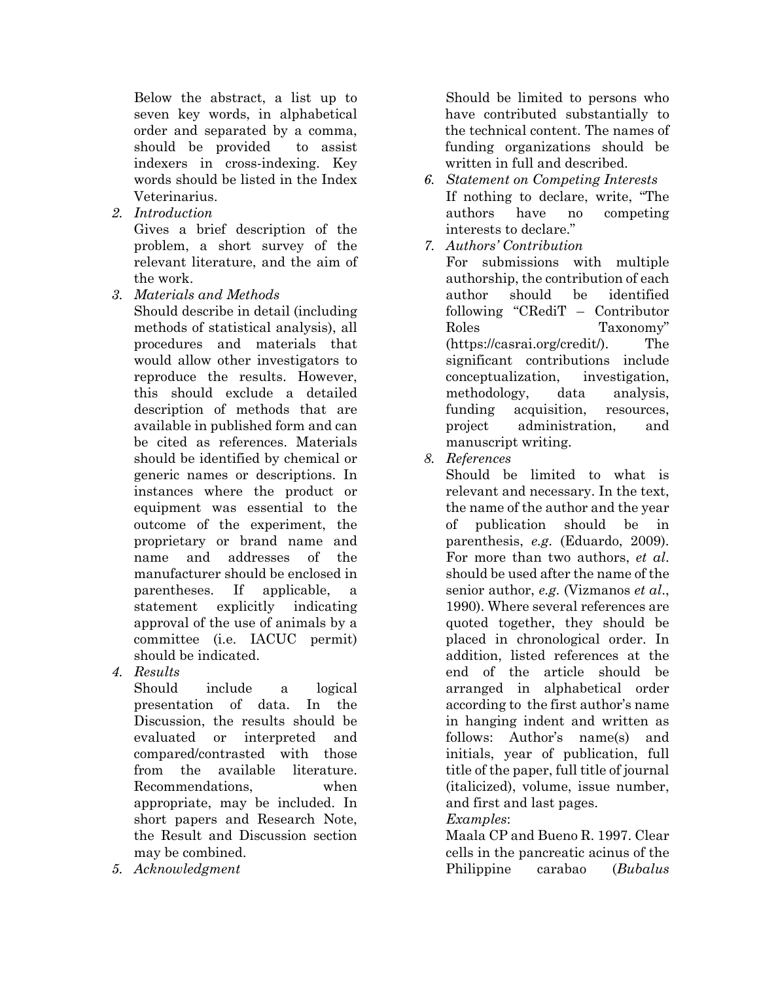Below the abstract, a list up to seven key words, in alphabetical order and separated by a comma, should be provided to assist indexers in cross-indexing. Key words should be listed in the Index Veterinarius.

*2. Introduction*

Gives a brief description of the problem, a short survey of the relevant literature, and the aim of the work.

*3. Materials and Methods*

Should describe in detail (including methods of statistical analysis), all procedures and materials that would allow other investigators to reproduce the results. However, this should exclude a detailed description of methods that are available in published form and can be cited as references. Materials should be identified by chemical or generic names or descriptions. In instances where the product or equipment was essential to the outcome of the experiment, the proprietary or brand name and name and addresses of the manufacturer should be enclosed in parentheses. If applicable, a statement explicitly indicating approval of the use of animals by a committee (i.e. IACUC permit) should be indicated.

*4. Results*

Should include a logical presentation of data. In the Discussion, the results should be evaluated or interpreted and compared/contrasted with those from the available literature. Recommendations, when appropriate, may be included. In short papers and Research Note, the Result and Discussion section may be combined.

*5. Acknowledgment*

Should be limited to persons who have contributed substantially to the technical content. The names of funding organizations should be written in full and described.

- *6. Statement on Competing Interests*  If nothing to declare, write, "The authors have no competing interests to declare."
- *7. Authors' Contribution* For submissions with multiple authorship, the contribution of each author should be identified following "CRediT – Contributor Roles Taxonomy" (https://casrai.org/credit/). The significant contributions include conceptualization, investigation, methodology, data analysis, funding acquisition, resources, project administration, and manuscript writing.
- *8. References*

Should be limited to what is relevant and necessary. In the text, the name of the author and the year of publication should be in parenthesis, *e.g*. (Eduardo, 2009). For more than two authors, *et al*. should be used after the name of the senior author, *e.g*. (Vizmanos *et al*., 1990). Where several references are quoted together, they should be placed in chronological order. In addition, listed references at the end of the article should be arranged in alphabetical order according to the first author's name in hanging indent and written as follows: Author's name(s) and initials, year of publication, full title of the paper, full title of journal (italicized), volume, issue number, and first and last pages.

# *Examples*:

Maala CP and Bueno R. 1997. Clear cells in the pancreatic acinus of the Philippine carabao (*Bubalus*